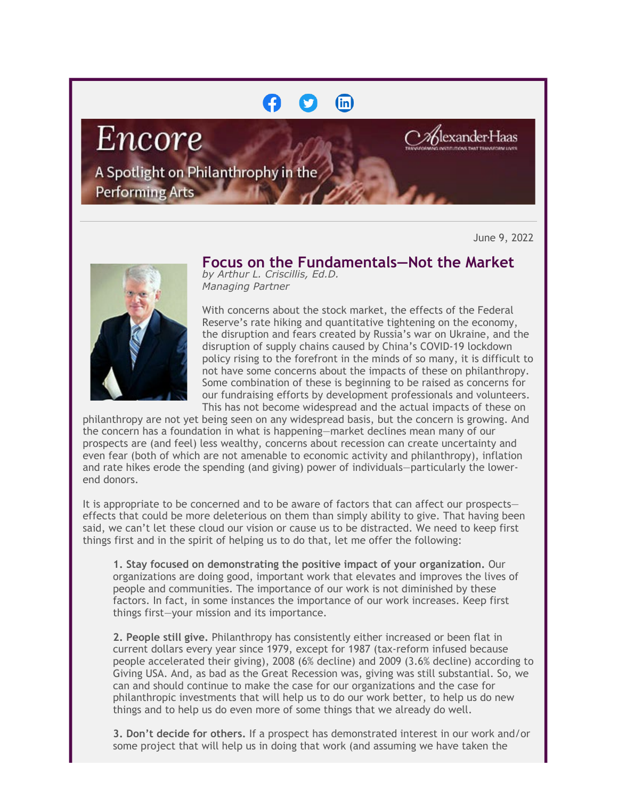## (in)

Encore

exander Haas

A Spotlight on Philanthrophy in the

**Performing Arts** 

June 9, 2022



**Focus on the Fundamentals—Not the Market** *by Arthur L. Criscillis, Ed.D.*

*Managing Partner*

With concerns about the stock market, the effects of the Federal Reserve's rate hiking and quantitative tightening on the economy, the disruption and fears created by Russia's war on Ukraine, and the disruption of supply chains caused by China's COVID-19 lockdown policy rising to the forefront in the minds of so many, it is difficult to not have some concerns about the impacts of these on philanthropy. Some combination of these is beginning to be raised as concerns for our fundraising efforts by development professionals and volunteers. This has not become widespread and the actual impacts of these on

philanthropy are not yet being seen on any widespread basis, but the concern is growing. And the concern has a foundation in what is happening—market declines mean many of our prospects are (and feel) less wealthy, concerns about recession can create uncertainty and even fear (both of which are not amenable to economic activity and philanthropy), inflation and rate hikes erode the spending (and giving) power of individuals—particularly the lowerend donors.

It is appropriate to be concerned and to be aware of factors that can affect our prospects effects that could be more deleterious on them than simply ability to give. That having been said, we can't let these cloud our vision or cause us to be distracted. We need to keep first things first and in the spirit of helping us to do that, let me offer the following:

**1. Stay focused on demonstrating the positive impact of your organization.** Our organizations are doing good, important work that elevates and improves the lives of people and communities. The importance of our work is not diminished by these factors. In fact, in some instances the importance of our work increases. Keep first things first—your mission and its importance.

**2. People still give.** Philanthropy has consistently either increased or been flat in current dollars every year since 1979, except for 1987 (tax-reform infused because people accelerated their giving), 2008 (6% decline) and 2009 (3.6% decline) according to Giving USA. And, as bad as the Great Recession was, giving was still substantial. So, we can and should continue to make the case for our organizations and the case for philanthropic investments that will help us to do our work better, to help us do new things and to help us do even more of some things that we already do well.

**3. Don't decide for others.** If a prospect has demonstrated interest in our work and/or some project that will help us in doing that work (and assuming we have taken the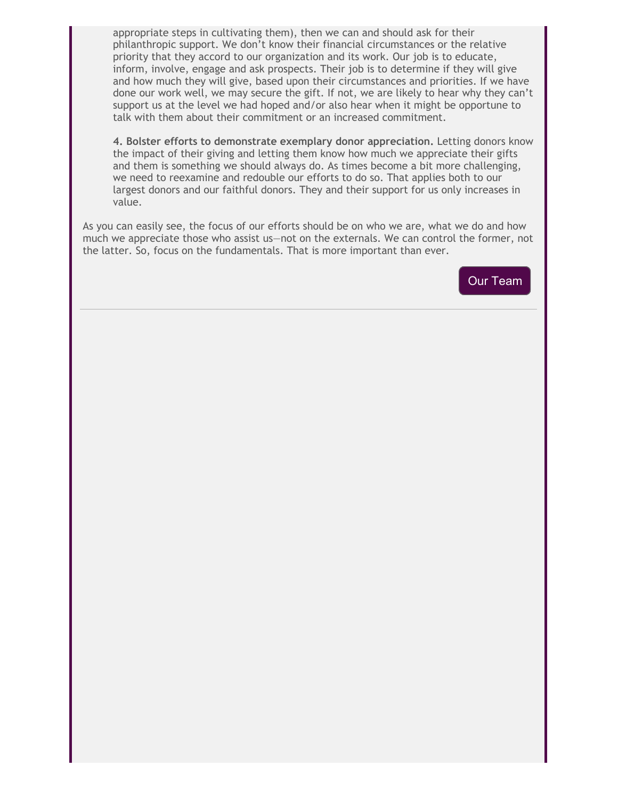appropriate steps in cultivating them), then we can and should ask for their philanthropic support. We don't know their financial circumstances or the relative priority that they accord to our organization and its work. Our job is to educate, inform, involve, engage and ask prospects. Their job is to determine if they will give and how much they will give, based upon their circumstances and priorities. If we have done our work well, we may secure the gift. If not, we are likely to hear why they can't support us at the level we had hoped and/or also hear when it might be opportune to talk with them about their commitment or an increased commitment.

**4. Bolster efforts to demonstrate exemplary donor appreciation.** Letting donors know the impact of their giving and letting them know how much we appreciate their gifts and them is something we should always do. As times become a bit more challenging, we need to reexamine and redouble our efforts to do so. That applies both to our largest donors and our faithful donors. They and their support for us only increases in value.

As you can easily see, the focus of our efforts should be on who we are, what we do and how much we appreciate those who assist us—not on the externals. We can control the former, not the latter. So, focus on the fundamentals. That is more important than ever.

[Our Team](https://cl.exct.net/?qs=9dfa12cc2450f9d600a5dd9d13aa8fafe722f730bf2a9bf56cbbdddc66f05c82dc487b1a5a7cec7fc9256e64d1c7de82)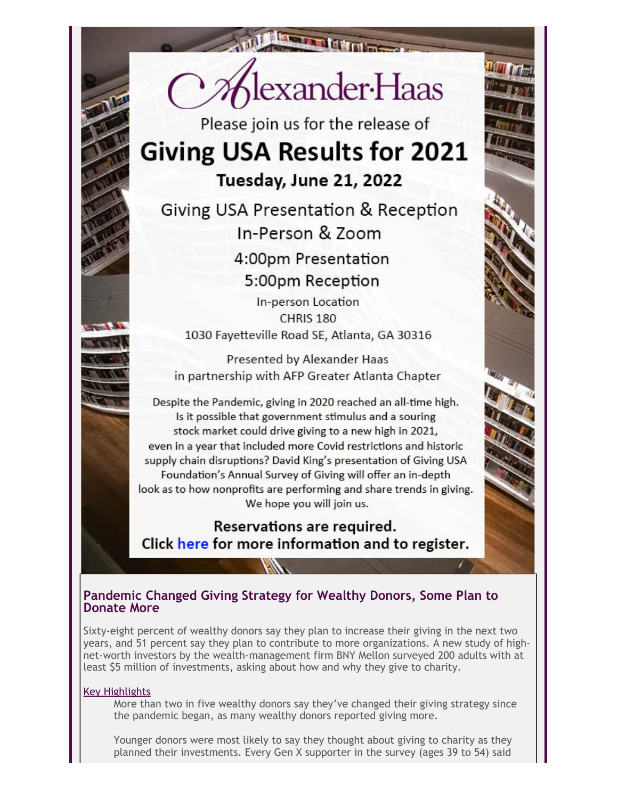

Please join us for the release of

# **Giving USA Results for 2021** Tuesday, June 21, 2022

Giving USA Presentation & Reception In-Person & Zoom 4:00pm Presentation 5:00pm Reception

In-person Location CHRIS<sub>180</sub> 1030 Fayetteville Road SE, Atlanta, GA 30316

Presented by Alexander Haas in partnership with AFP Greater Atlanta Chapter

Despite the Pandemic, giving in 2020 reached an all-time high. Is it possible that government stimulus and a souring stock market could drive giving to a new high in 2021, even in a year that included more Covid restrictions and historic supply chain disruptions? David King's presentation of Giving USA Foundation's Annual Survey of Giving will offer an in-depth look as to how nonprofits are performing and share trends in giving. We hope you will join us.

Reservations are required. Click here for more information and to register.

## **Pandemic Changed Giving Strategy for Wealthy Donors, Some Plan to Donate More**

Sixty-eight percent of wealthy donors say they plan to increase their giving in the next two years, and 51 percent say they plan to contribute to more organizations. A new study of highnet-worth investors by the wealth-management firm BNY Mellon surveyed 200 adults with at least \$5 million of investments, asking about how and why they give to charity.

#### Key Highlights

More than two in five wealthy donors say they've changed their giving strategy since the pandemic began, as many wealthy donors reported giving more.

Younger donors were most likely to say they thought about giving to charity as they planned their investments. Every Gen X supporter in the survey (ages 39 to 54) said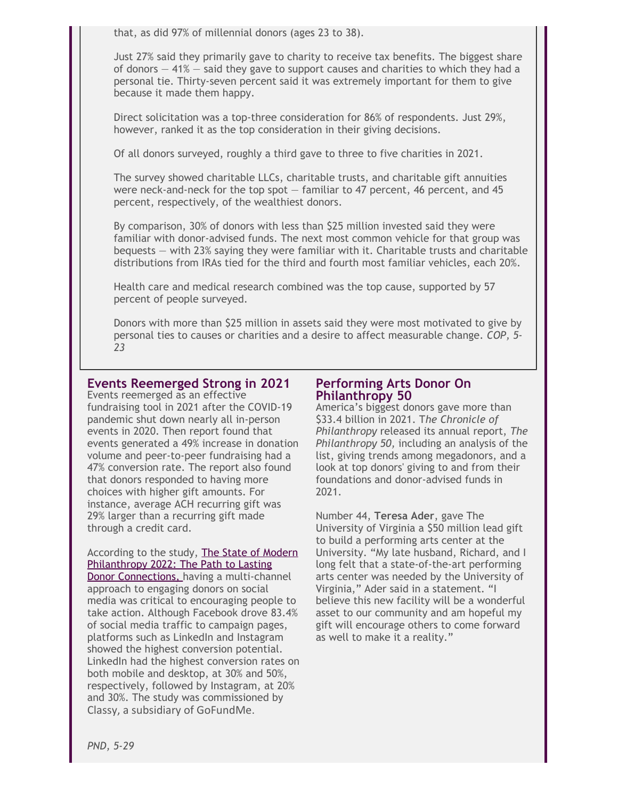that, as did 97% of millennial donors (ages 23 to 38).

Just 27% said they primarily gave to charity to receive tax benefits. The biggest share of donors  $-41\%$  – said they gave to support causes and charities to which they had a personal tie. Thirty-seven percent said it was extremely important for them to give because it made them happy.

Direct solicitation was a top-three consideration for 86% of respondents. Just 29%, however, ranked it as the top consideration in their giving decisions.

Of all donors surveyed, roughly a third gave to three to five charities in 2021.

The survey showed charitable LLCs, charitable trusts, and charitable gift annuities were neck-and-neck for the top spot  $-$  familiar to 47 percent, 46 percent, and 45 percent, respectively, of the wealthiest donors.

By comparison, 30% of donors with less than \$25 million invested said they were familiar with donor-advised funds. The next most common vehicle for that group was bequests — with 23% saying they were familiar with it. Charitable trusts and charitable distributions from IRAs tied for the third and fourth most familiar vehicles, each 20%.

Health care and medical research combined was the top cause, supported by 57 percent of people surveyed.

Donors with more than \$25 million in assets said they were most motivated to give by personal ties to causes or charities and a desire to affect measurable change. *COP, 5- 23*

## **Events Reemerged Strong in 2021**

Events reemerged as an effective fundraising tool in 2021 after the COVID-19 pandemic shut down nearly all in-person events in 2020. Then report found that events generated a 49% increase in donation volume and peer-to-peer fundraising had a 47% conversion rate. The report also found that donors responded to having more choices with higher gift amounts. For instance, average ACH recurring gift was 29% larger than a recurring gift made through a credit card.

#### According to the study, [The State of Modern](https://cl.exct.net/?qs=9dfa12cc2450f9d62bab29be03f24c69041b50366b92751f96e6510850af1864b3fecf4f7807770d2fc694db95d9d941) [Philanthropy 2022: The Path to Lasting](https://cl.exct.net/?qs=9dfa12cc2450f9d62bab29be03f24c69041b50366b92751f96e6510850af1864b3fecf4f7807770d2fc694db95d9d941)

[Donor Connections,](https://cl.exct.net/?qs=9dfa12cc2450f9d62bab29be03f24c69041b50366b92751f96e6510850af1864b3fecf4f7807770d2fc694db95d9d941) having a multi-channel approach to engaging donors on social media was critical to encouraging people to take action. Although Facebook drove 83.4% of social media traffic to campaign pages, platforms such as LinkedIn and Instagram showed the highest conversion potential. LinkedIn had the highest conversion rates on both mobile and desktop, at 30% and 50%, respectively, followed by Instagram, at 20% and 30%. The study was commissioned by Classy, a subsidiary of GoFundMe.

#### **Performing Arts Donor On Philanthropy 50**

America's biggest donors gave more than \$33.4 billion in 2021. T*he Chronicle of Philanthropy* released its annual report, *The Philanthropy 50,* including an analysis of the list, giving trends among megadonors, and a look at top donors' giving to and from their foundations and donor-advised funds in 2021.

Number 44, **Teresa Ader**, gave The University of Virginia a \$50 million lead gift to build a performing arts center at the University. "My late husband, Richard, and I long felt that a state-of-the-art performing arts center was needed by the University of Virginia," Ader said in a statement. "I believe this new facility will be a wonderful asset to our community and am hopeful my gift will encourage others to come forward as well to make it a reality."